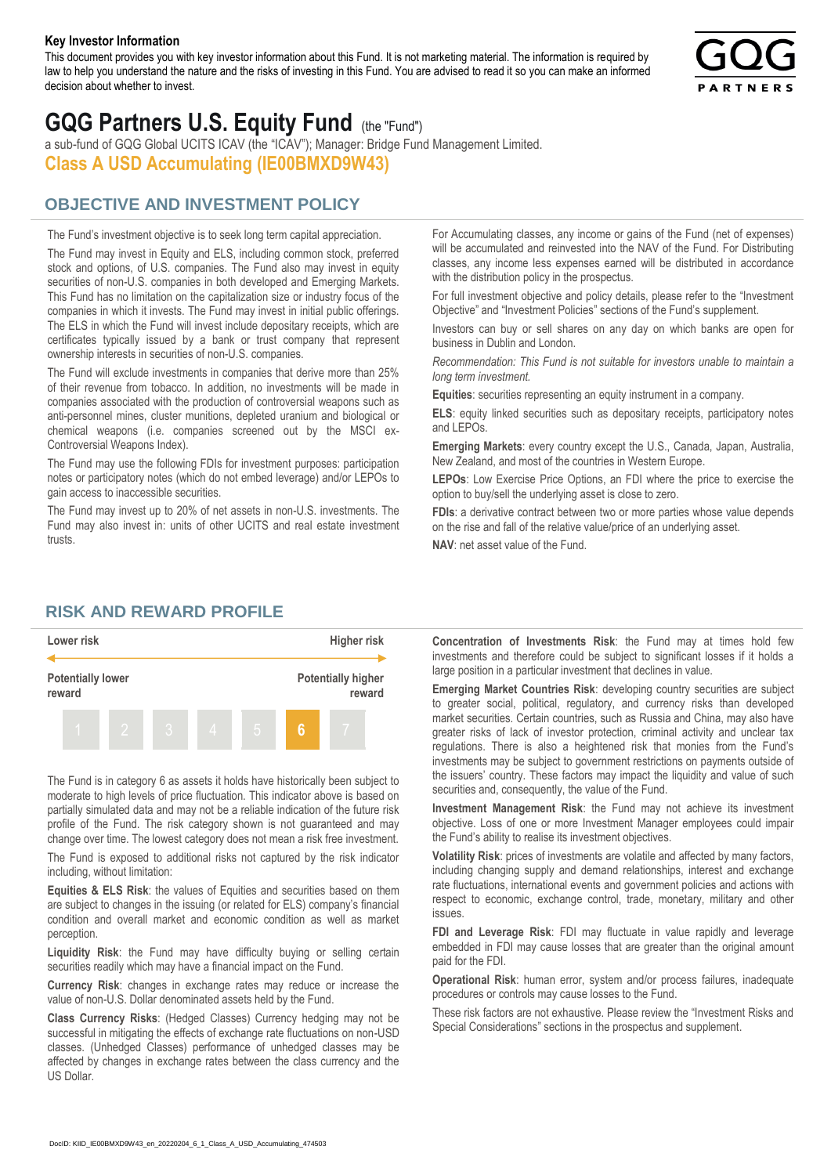#### **Key Investor Information**

This document provides you with key investor information about this Fund. It is not marketing material. The information is required by law to help you understand the nature and the risks of investing in this Fund. You are advised to read it so you can make an informed decision about whether to invest.



# **GQG Partners U.S. Equity Fund** (the "Fund")

a sub-fund of GQG Global UCITS ICAV (the "ICAV"); Manager: Bridge Fund Management Limited. **Class A USD Accumulating (IE00BMXD9W43)**

#### **OBJECTIVE AND INVESTMENT POLICY**

The Fund's investment objective is to seek long term capital appreciation. The Fund may invest in Equity and ELS, including common stock, preferred stock and options, of U.S. companies. The Fund also may invest in equity securities of non-U.S. companies in both developed and Emerging Markets. This Fund has no limitation on the capitalization size or industry focus of the companies in which it invests. The Fund may invest in initial public offerings. The ELS in which the Fund will invest include depositary receipts, which are certificates typically issued by a bank or trust company that represent ownership interests in securities of non-U.S. companies.

The Fund will exclude investments in companies that derive more than 25% of their revenue from tobacco. In addition, no investments will be made in companies associated with the production of controversial weapons such as anti-personnel mines, cluster munitions, depleted uranium and biological or chemical weapons (i.e. companies screened out by the MSCI ex-Controversial Weapons Index).

The Fund may use the following FDIs for investment purposes: participation notes or participatory notes (which do not embed leverage) and/or LEPOs to gain access to inaccessible securities.

The Fund may invest up to 20% of net assets in non-U.S. investments. The Fund may also invest in: units of other UCITS and real estate investment trusts.

For Accumulating classes, any income or gains of the Fund (net of expenses) will be accumulated and reinvested into the NAV of the Fund. For Distributing classes, any income less expenses earned will be distributed in accordance with the distribution policy in the prospectus.

For full investment objective and policy details, please refer to the "Investment Objective" and "Investment Policies" sections of the Fund's supplement.

Investors can buy or sell shares on any day on which banks are open for business in Dublin and London.

*Recommendation: This Fund is not suitable for investors unable to maintain a long term investment.*

**Equities**: securities representing an equity instrument in a company.

**ELS**: equity linked securities such as depositary receipts, participatory notes and LEPOs.

**Emerging Markets**: every country except the U.S., Canada, Japan, Australia, New Zealand, and most of the countries in Western Europe.

**LEPOs**: Low Exercise Price Options, an FDI where the price to exercise the option to buy/sell the underlying asset is close to zero.

**FDIs**: a derivative contract between two or more parties whose value depends on the rise and fall of the relative value/price of an underlying asset.

**NAV**: net asset value of the Fund.

#### **RISK AND REWARD PROFILE**



The Fund is in category 6 as assets it holds have historically been subject to moderate to high levels of price fluctuation. This indicator above is based on partially simulated data and may not be a reliable indication of the future risk profile of the Fund. The risk category shown is not guaranteed and may change over time. The lowest category does not mean a risk free investment.

The Fund is exposed to additional risks not captured by the risk indicator including, without limitation:

**Equities & ELS Risk**: the values of Equities and securities based on them are subject to changes in the issuing (or related for ELS) company's financial condition and overall market and economic condition as well as market perception.

**Liquidity Risk**: the Fund may have difficulty buying or selling certain securities readily which may have a financial impact on the Fund.

**Currency Risk**: changes in exchange rates may reduce or increase the value of non-U.S. Dollar denominated assets held by the Fund.

**Class Currency Risks**: (Hedged Classes) Currency hedging may not be successful in mitigating the effects of exchange rate fluctuations on non-USD classes. (Unhedged Classes) performance of unhedged classes may be affected by changes in exchange rates between the class currency and the US Dollar.

**Concentration of Investments Risk**: the Fund may at times hold few investments and therefore could be subject to significant losses if it holds a large position in a particular investment that declines in value.

**Emerging Market Countries Risk**: developing country securities are subject to greater social, political, regulatory, and currency risks than developed market securities. Certain countries, such as Russia and China, may also have greater risks of lack of investor protection, criminal activity and unclear tax regulations. There is also a heightened risk that monies from the Fund's investments may be subject to government restrictions on payments outside of the issuers' country. These factors may impact the liquidity and value of such securities and, consequently, the value of the Fund.

**Investment Management Risk**: the Fund may not achieve its investment objective. Loss of one or more Investment Manager employees could impair the Fund's ability to realise its investment objectives.

**Volatility Risk**: prices of investments are volatile and affected by many factors, including changing supply and demand relationships, interest and exchange rate fluctuations, international events and government policies and actions with respect to economic, exchange control, trade, monetary, military and other issues.

**FDI and Leverage Risk**: FDI may fluctuate in value rapidly and leverage embedded in FDI may cause losses that are greater than the original amount paid for the FDI.

**Operational Risk**: human error, system and/or process failures, inadequate procedures or controls may cause losses to the Fund.

These risk factors are not exhaustive. Please review the "Investment Risks and Special Considerations" sections in the prospectus and supplement.